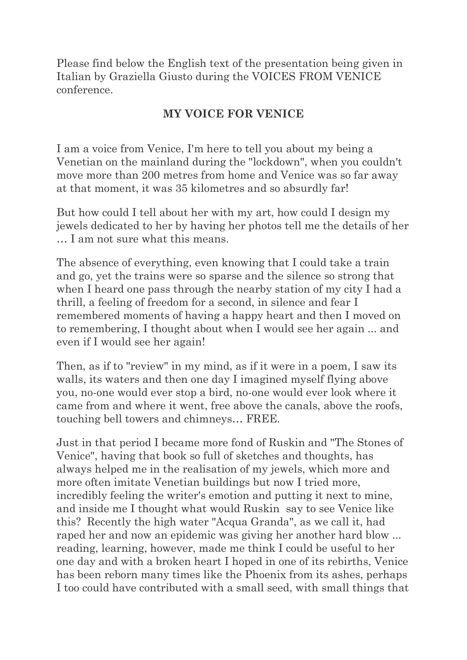Please find below the English text of the presentation being given in Italian by Graziella Giusto during the VOICES FROM VENICE conference.

## **MY VOICE FOR VENICE**

I am a voice from Venice, I'm here to tell you about my being a Venetian on the mainland during the "lockdown", when you couldn't move more than 200 metres from home and Venice was so far away at that moment, it was 35 kilometres and so absurdly far!

But how could I tell about her with my art, how could I design my jewels dedicated to her by having her photos tell me the details of her … I am not sure what this means.

The absence of everything, even knowing that I could take a train and go, yet the trains were so sparse and the silence so strong that when I heard one pass through the nearby station of my city I had a thrill, a feeling of freedom for a second, in silence and fear I remembered moments of having a happy heart and then I moved on to remembering, I thought about when I would see her again ... and even if I would see her again!

Then, as if to "review" in my mind, as if it were in a poem, I saw its walls, its waters and then one day I imagined myself flying above you, no-one would ever stop a bird, no-one would ever look where it came from and where it went, free above the canals, above the roofs, touching bell towers and chimneys… FREE.

Just in that period I became more fond of Ruskin and "The Stones of Venice", having that book so full of sketches and thoughts, has always helped me in the realisation of my jewels, which more and more often imitate Venetian buildings but now I tried more, incredibly feeling the writer's emotion and putting it next to mine, and inside me I thought what would Ruskin say to see Venice like this? Recently the high water "Acqua Granda", as we call it, had raped her and now an epidemic was giving her another hard blow ... reading, learning, however, made me think I could be useful to her one day and with a broken heart I hoped in one of its rebirths, Venice has been reborn many times like the Phoenix from its ashes, perhaps I too could have contributed with a small seed, with small things that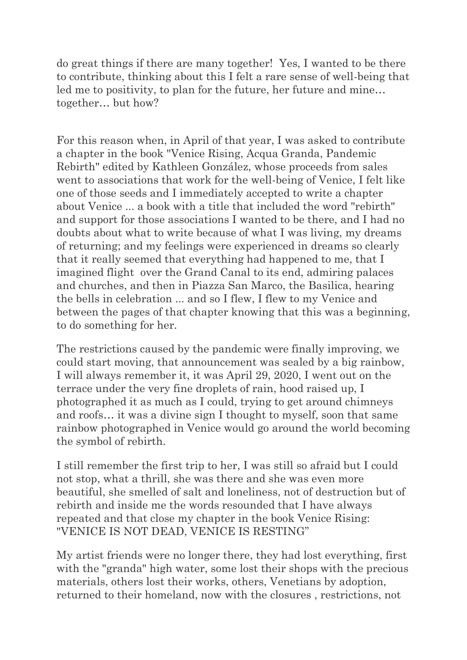do great things if there are many together! Yes, I wanted to be there to contribute, thinking about this I felt a rare sense of well-being that led me to positivity, to plan for the future, her future and mine… together… but how?

For this reason when, in April of that year, I was asked to contribute a chapter in the book "Venice Rising, Acqua Granda, Pandemic Rebirth" edited by Kathleen González, whose proceeds from sales went to associations that work for the well-being of Venice, I felt like one of those seeds and I immediately accepted to write a chapter about Venice ... a book with a title that included the word "rebirth" and support for those associations I wanted to be there, and I had no doubts about what to write because of what I was living, my dreams of returning; and my feelings were experienced in dreams so clearly that it really seemed that everything had happened to me, that I imagined flight over the Grand Canal to its end, admiring palaces and churches, and then in Piazza San Marco, the Basilica, hearing the bells in celebration ... and so I flew, I flew to my Venice and between the pages of that chapter knowing that this was a beginning, to do something for her.

The restrictions caused by the pandemic were finally improving, we could start moving, that announcement was sealed by a big rainbow, I will always remember it, it was April 29, 2020, I went out on the terrace under the very fine droplets of rain, hood raised up, I photographed it as much as I could, trying to get around chimneys and roofs… it was a divine sign I thought to myself, soon that same rainbow photographed in Venice would go around the world becoming the symbol of rebirth.

I still remember the first trip to her, I was still so afraid but I could not stop, what a thrill, she was there and she was even more beautiful, she smelled of salt and loneliness, not of destruction but of rebirth and inside me the words resounded that I have always repeated and that close my chapter in the book Venice Rising: "VENICE IS NOT DEAD, VENICE IS RESTING"

My artist friends were no longer there, they had lost everything, first with the "granda" high water, some lost their shops with the precious materials, others lost their works, others, Venetians by adoption, returned to their homeland, now with the closures , restrictions, not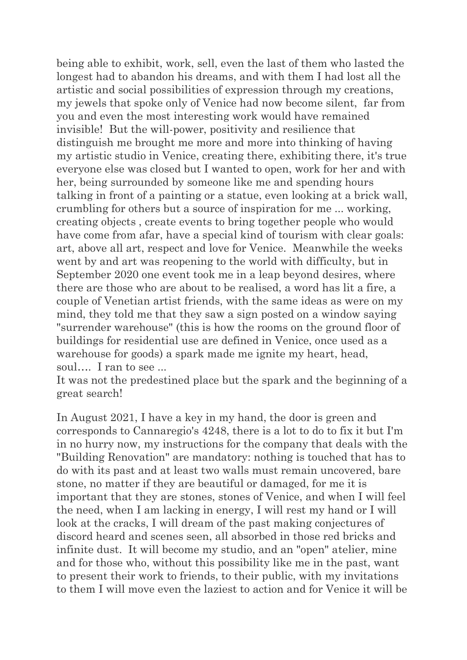being able to exhibit, work, sell, even the last of them who lasted the longest had to abandon his dreams, and with them I had lost all the artistic and social possibilities of expression through my creations, my jewels that spoke only of Venice had now become silent, far from you and even the most interesting work would have remained invisible! But the will-power, positivity and resilience that distinguish me brought me more and more into thinking of having my artistic studio in Venice, creating there, exhibiting there, it's true everyone else was closed but I wanted to open, work for her and with her, being surrounded by someone like me and spending hours talking in front of a painting or a statue, even looking at a brick wall, crumbling for others but a source of inspiration for me ... working, creating objects , create events to bring together people who would have come from afar, have a special kind of tourism with clear goals: art, above all art, respect and love for Venice. Meanwhile the weeks went by and art was reopening to the world with difficulty, but in September 2020 one event took me in a leap beyond desires, where there are those who are about to be realised, a word has lit a fire, a couple of Venetian artist friends, with the same ideas as were on my mind, they told me that they saw a sign posted on a window saying "surrender warehouse" (this is how the rooms on the ground floor of buildings for residential use are defined in Venice, once used as a warehouse for goods) a spark made me ignite my heart, head, soul…. I ran to see ...

It was not the predestined place but the spark and the beginning of a great search!

In August 2021, I have a key in my hand, the door is green and corresponds to Cannaregio's 4248, there is a lot to do to fix it but I'm in no hurry now, my instructions for the company that deals with the "Building Renovation" are mandatory: nothing is touched that has to do with its past and at least two walls must remain uncovered, bare stone, no matter if they are beautiful or damaged, for me it is important that they are stones, stones of Venice, and when I will feel the need, when I am lacking in energy, I will rest my hand or I will look at the cracks, I will dream of the past making conjectures of discord heard and scenes seen, all absorbed in those red bricks and infinite dust. It will become my studio, and an "open" atelier, mine and for those who, without this possibility like me in the past, want to present their work to friends, to their public, with my invitations to them I will move even the laziest to action and for Venice it will be